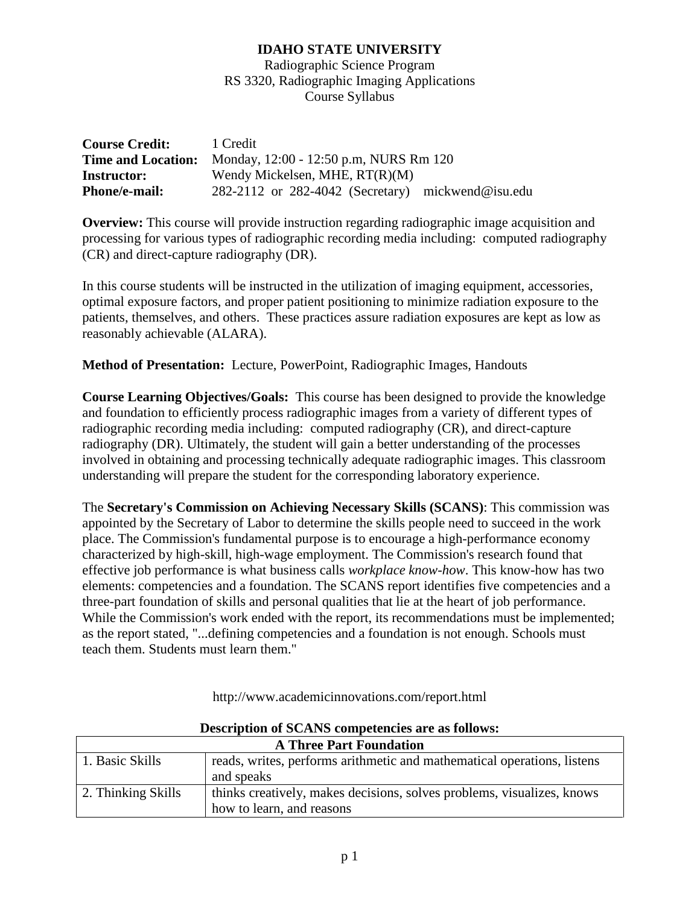Radiographic Science Program RS 3320, Radiographic Imaging Applications Course Syllabus

| <b>Course Credit:</b>     | 1 Credit                                              |  |
|---------------------------|-------------------------------------------------------|--|
| <b>Time and Location:</b> | Monday, 12:00 - 12:50 p.m, NURS Rm 120                |  |
| <b>Instructor:</b>        | Wendy Mickelsen, MHE, $RT(R)(M)$                      |  |
| <b>Phone/e-mail:</b>      | $282-2112$ or $282-4042$ (Secretary) mickwend@isu.edu |  |

**Overview:** This course will provide instruction regarding radiographic image acquisition and processing for various types of radiographic recording media including: computed radiography (CR) and direct-capture radiography (DR).

In this course students will be instructed in the utilization of imaging equipment, accessories, optimal exposure factors, and proper patient positioning to minimize radiation exposure to the patients, themselves, and others. These practices assure radiation exposures are kept as low as reasonably achievable (ALARA).

**Method of Presentation:** Lecture, PowerPoint, Radiographic Images, Handouts

**Course Learning Objectives/Goals:** This course has been designed to provide the knowledge and foundation to efficiently process radiographic images from a variety of different types of radiographic recording media including: computed radiography (CR), and direct-capture radiography (DR). Ultimately, the student will gain a better understanding of the processes involved in obtaining and processing technically adequate radiographic images. This classroom understanding will prepare the student for the corresponding laboratory experience.

The **Secretary's Commission on Achieving Necessary Skills (SCANS)**: This commission was appointed by the Secretary of Labor to determine the skills people need to succeed in the work place. The Commission's fundamental purpose is to encourage a high-performance economy characterized by high-skill, high-wage employment. The Commission's research found that effective job performance is what business calls *workplace know-how*. This know-how has two elements: competencies and a foundation. The SCANS report identifies five competencies and a three-part foundation of skills and personal qualities that lie at the heart of job performance. While the Commission's work ended with the report, its recommendations must be implemented; as the report stated, "...defining competencies and a foundation is not enough. Schools must teach them. Students must learn them."

| Description of SCARS competencies are as follows. |                                                                         |  |  |
|---------------------------------------------------|-------------------------------------------------------------------------|--|--|
| <b>A Three Part Foundation</b>                    |                                                                         |  |  |
| 1. Basic Skills                                   | reads, writes, performs arithmetic and mathematical operations, listens |  |  |
|                                                   | and speaks                                                              |  |  |
| 2. Thinking Skills                                | thinks creatively, makes decisions, solves problems, visualizes, knows  |  |  |
|                                                   | how to learn, and reasons                                               |  |  |

http://www.academicinnovations.com/report.html

**Description of SCANS competencies are as follows:**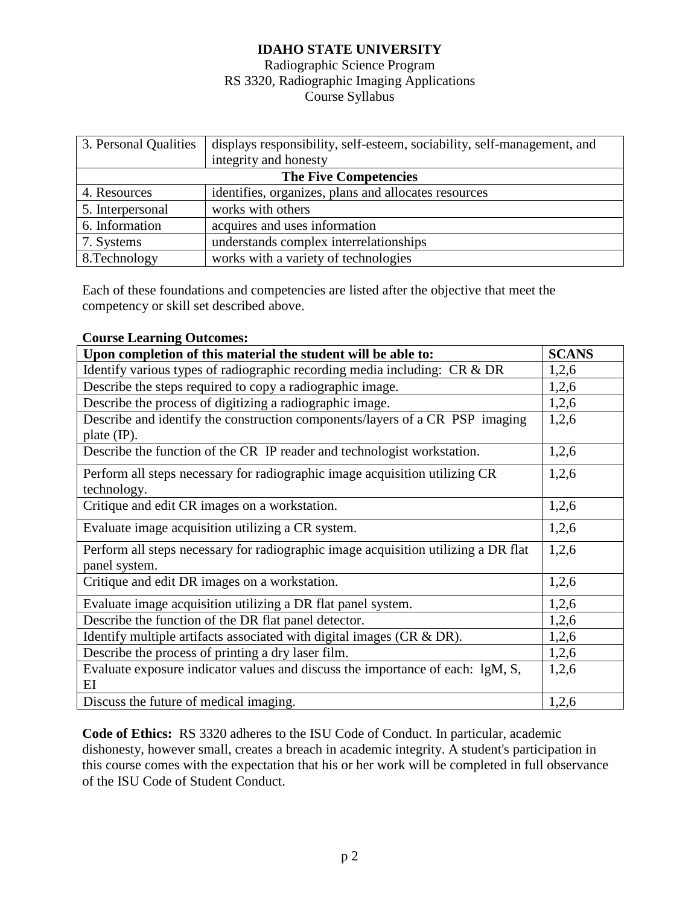### Radiographic Science Program RS 3320, Radiographic Imaging Applications Course Syllabus

| 3. Personal Qualities        | displays responsibility, self-esteem, sociability, self-management, and |  |  |  |
|------------------------------|-------------------------------------------------------------------------|--|--|--|
|                              | integrity and honesty                                                   |  |  |  |
| <b>The Five Competencies</b> |                                                                         |  |  |  |
| 4. Resources                 | identifies, organizes, plans and allocates resources                    |  |  |  |
| 5. Interpersonal             | works with others                                                       |  |  |  |
| 6. Information               | acquires and uses information                                           |  |  |  |
| 7. Systems                   | understands complex interrelationships                                  |  |  |  |
| 8. Technology                | works with a variety of technologies                                    |  |  |  |

Each of these foundations and competencies are listed after the objective that meet the competency or skill set described above.

#### **Course Learning Outcomes:**

| Upon completion of this material the student will be able to:                                         |       |  |
|-------------------------------------------------------------------------------------------------------|-------|--|
| Identify various types of radiographic recording media including: CR & DR                             | 1,2,6 |  |
| Describe the steps required to copy a radiographic image.                                             | 1,2,6 |  |
| Describe the process of digitizing a radiographic image.                                              | 1,2,6 |  |
| Describe and identify the construction components/layers of a CR PSP imaging<br>plate $(\text{IP})$ . | 1,2,6 |  |
| Describe the function of the CR IP reader and technologist workstation.                               | 1,2,6 |  |
| Perform all steps necessary for radiographic image acquisition utilizing CR<br>technology.            | 1,2,6 |  |
| Critique and edit CR images on a workstation.                                                         | 1,2,6 |  |
| Evaluate image acquisition utilizing a CR system.                                                     | 1,2,6 |  |
| Perform all steps necessary for radiographic image acquisition utilizing a DR flat<br>panel system.   | 1,2,6 |  |
| Critique and edit DR images on a workstation.                                                         | 1,2,6 |  |
| Evaluate image acquisition utilizing a DR flat panel system.                                          | 1,2,6 |  |
| Describe the function of the DR flat panel detector.                                                  | 1,2,6 |  |
| Identify multiple artifacts associated with digital images $(CR \& DR)$ .                             | 1,2,6 |  |
| Describe the process of printing a dry laser film.                                                    | 1,2,6 |  |
| Evaluate exposure indicator values and discuss the importance of each: lgM, S,                        | 1,2,6 |  |
| ΕI                                                                                                    |       |  |
| Discuss the future of medical imaging.                                                                | 1,2,6 |  |

**Code of Ethics:** RS 3320 adheres to the ISU Code of Conduct. In particular, academic dishonesty, however small, creates a breach in academic integrity. A student's participation in this course comes with the expectation that his or her work will be completed in full observance of the ISU Code of Student Conduct.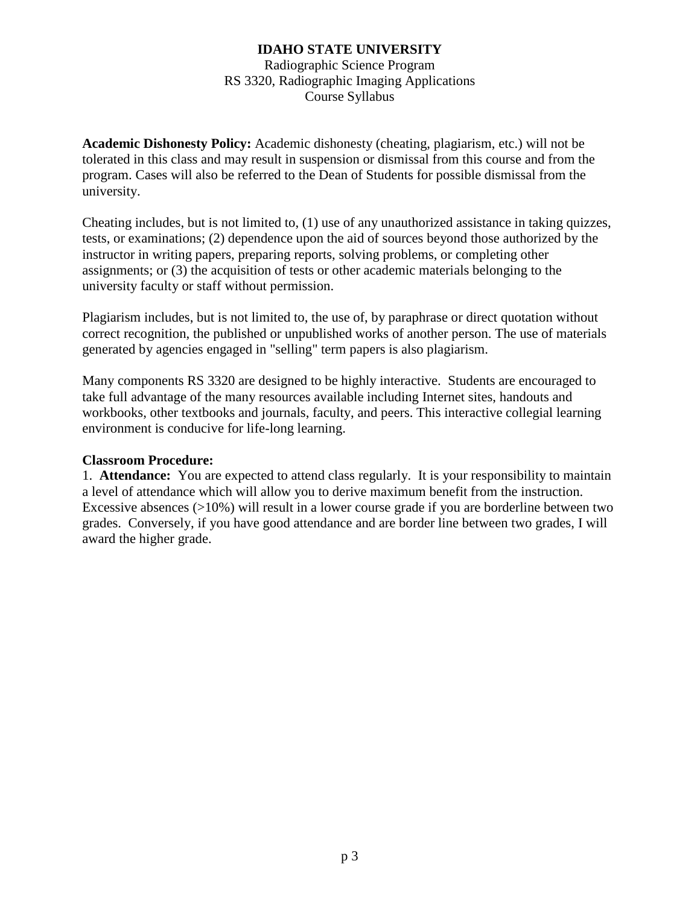Radiographic Science Program RS 3320, Radiographic Imaging Applications Course Syllabus

**Academic Dishonesty Policy:** Academic dishonesty (cheating, plagiarism, etc.) will not be tolerated in this class and may result in suspension or dismissal from this course and from the program. Cases will also be referred to the Dean of Students for possible dismissal from the university.

Cheating includes, but is not limited to, (1) use of any unauthorized assistance in taking quizzes, tests, or examinations; (2) dependence upon the aid of sources beyond those authorized by the instructor in writing papers, preparing reports, solving problems, or completing other assignments; or (3) the acquisition of tests or other academic materials belonging to the university faculty or staff without permission.

Plagiarism includes, but is not limited to, the use of, by paraphrase or direct quotation without correct recognition, the published or unpublished works of another person. The use of materials generated by agencies engaged in "selling" term papers is also plagiarism.

Many components RS 3320 are designed to be highly interactive. Students are encouraged to take full advantage of the many resources available including Internet sites, handouts and workbooks, other textbooks and journals, faculty, and peers. This interactive collegial learning environment is conducive for life-long learning.

#### **Classroom Procedure:**

1. **Attendance:** You are expected to attend class regularly. It is your responsibility to maintain a level of attendance which will allow you to derive maximum benefit from the instruction. Excessive absences (>10%) will result in a lower course grade if you are borderline between two grades. Conversely, if you have good attendance and are border line between two grades, I will award the higher grade.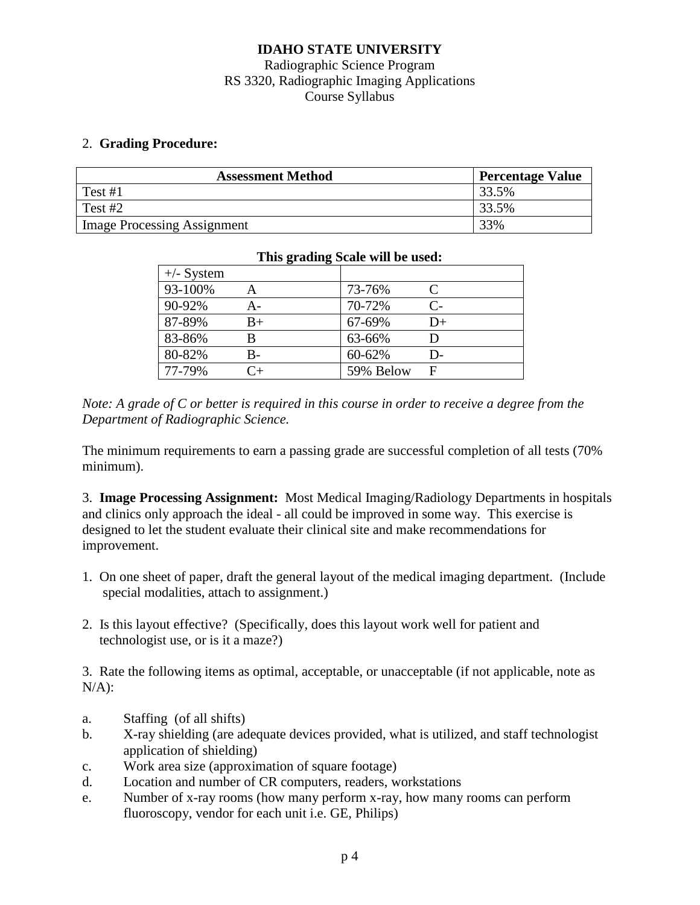## Radiographic Science Program RS 3320, Radiographic Imaging Applications Course Syllabus

### 2. **Grading Procedure:**

| <b>Assessment Method</b>    | <b>Percentage Value</b> |
|-----------------------------|-------------------------|
| $\Gamma$ Test #1            | 33.5%                   |
| Test #2                     | 33.5%                   |
| Image Processing Assignment | 33%                     |

| $+/-$ System |             |           |           |
|--------------|-------------|-----------|-----------|
| 93-100%      |             | 73-76%    | $\subset$ |
| 90-92%       | А-          | 70-72%    | $C-$      |
| 87-89%       | $_{\rm B+}$ | 67-69%    | D+        |
| 83-86%       | B           | 63-66%    |           |
| 80-82%       | B-          | 60-62%    | D-        |
| 77-79%       | $\cap_+$    | 59% Below |           |

#### **This grading Scale will be used:**

*Note: A grade of C or better is required in this course in order to receive a degree from the Department of Radiographic Science.*

The minimum requirements to earn a passing grade are successful completion of all tests (70% minimum).

3. **Image Processing Assignment:** Most Medical Imaging/Radiology Departments in hospitals and clinics only approach the ideal - all could be improved in some way. This exercise is designed to let the student evaluate their clinical site and make recommendations for improvement.

- 1. On one sheet of paper, draft the general layout of the medical imaging department. (Include special modalities, attach to assignment.)
- 2. Is this layout effective? (Specifically, does this layout work well for patient and technologist use, or is it a maze?)

3. Rate the following items as optimal, acceptable, or unacceptable (if not applicable, note as  $N/A$ ):

- a. Staffing (of all shifts)
- b. X-ray shielding (are adequate devices provided, what is utilized, and staff technologist application of shielding)
- c. Work area size (approximation of square footage)
- d. Location and number of CR computers, readers, workstations
- e. Number of x-ray rooms (how many perform x-ray, how many rooms can perform fluoroscopy, vendor for each unit i.e. GE, Philips)